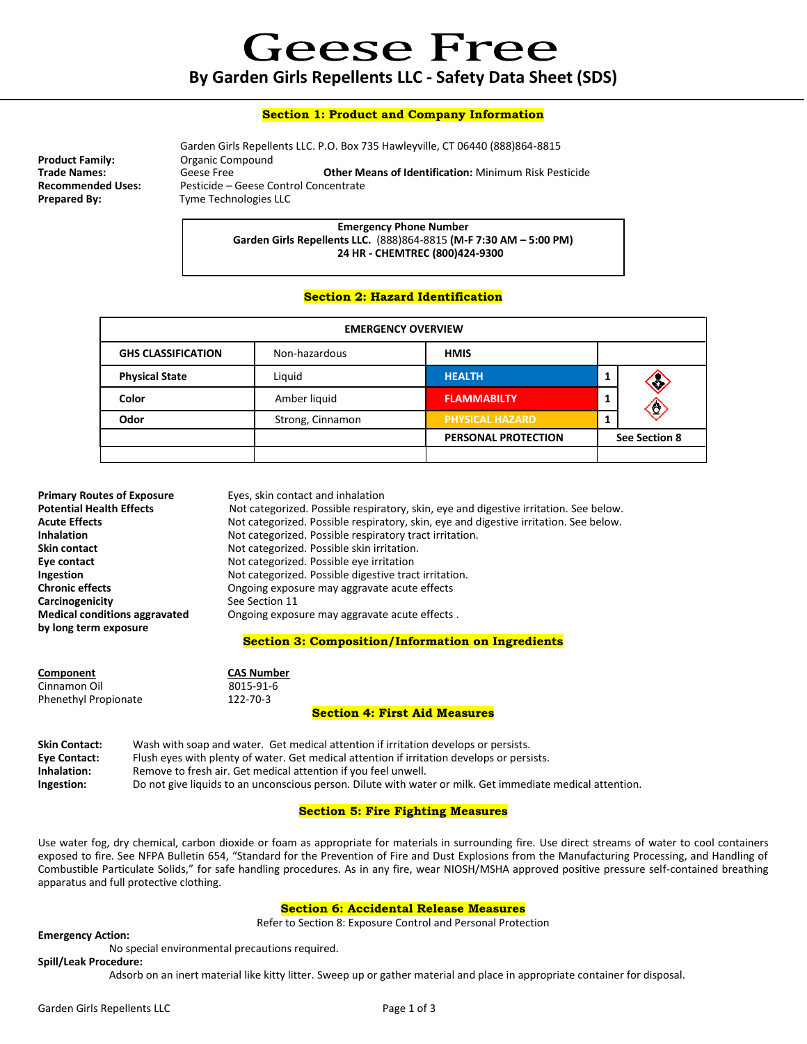**Geese Free By Garden Girls Repellents LLC - Safety Data Sheet (SDS)**

### **Section 1: Product and Company Information**

Garden Girls Repellents LLC. P.O. Box 735 Hawleyville, CT 06440 (888)864-8815<br>Product Family: Compound **Organic Compound Trade Names:** Geese Free **Other Means of Identification:** Minimum Risk Pesticide **Recommended Uses:** Pesticide – Geese Control Concentrate<br> **Prepared By:** Tyme Technologies LLC **Tyme Technologies LLC** 

> **Emergency Phone Number Garden Girls Repellents LLC.** (888)864-8815 **(M-F 7:30 AM – 5:00 PM) 24 HR - CHEMTREC (800)424-9300**

## **Section 2: Hazard Identification**

| <b>EMERGENCY OVERVIEW</b> |                  |                            |                     |
|---------------------------|------------------|----------------------------|---------------------|
| <b>GHS CLASSIFICATION</b> | Non-hazardous    | <b>HMIS</b>                |                     |
| <b>Physical State</b>     | Liguid           | <b>HEALTH</b>              | ≪                   |
| Color                     | Amber liquid     | <b>FLAMMABILTY</b>         | $\langle 0 \rangle$ |
| Odor                      | Strong, Cinnamon | <b>PHYSICAL HAZARD</b>     |                     |
|                           |                  | <b>PERSONAL PROTECTION</b> | See Section 8       |
|                           |                  |                            |                     |

| <b>Primary Routes of Exposure</b>    | Eyes, skin contact and inhalation                                                     |  |
|--------------------------------------|---------------------------------------------------------------------------------------|--|
| <b>Potential Health Effects</b>      | Not categorized. Possible respiratory, skin, eye and digestive irritation. See below. |  |
| <b>Acute Effects</b>                 | Not categorized. Possible respiratory, skin, eye and digestive irritation. See below. |  |
| <b>Inhalation</b>                    | Not categorized. Possible respiratory tract irritation.                               |  |
| Skin contact                         | Not categorized. Possible skin irritation.                                            |  |
| Eye contact                          | Not categorized. Possible eye irritation                                              |  |
| Ingestion                            | Not categorized. Possible digestive tract irritation.                                 |  |
| <b>Chronic effects</b>               | Ongoing exposure may aggravate acute effects                                          |  |
| Carcinogenicity                      | See Section 11                                                                        |  |
| <b>Medical conditions aggravated</b> | Ongoing exposure may aggravate acute effects.                                         |  |
| by long term exposure                |                                                                                       |  |
|                                      | Section 2: Composition/Information on Ingredients                                     |  |

#### **Section 3: Composition/Information on Ingredients**

| Component                   | <b>CAS Number</b> |  |  |
|-----------------------------|-------------------|--|--|
| Cinnamon Oil                | 8015-91-6         |  |  |
| <b>Phenethyl Propionate</b> | 122-70-3          |  |  |

#### **Section 4: First Aid Measures**

| <b>Skin Contact:</b> | Wash with soap and water. Get medical attention if irritation develops or persists.                       |
|----------------------|-----------------------------------------------------------------------------------------------------------|
| Eye Contact:         | Flush eyes with plenty of water. Get medical attention if irritation develops or persists.                |
| Inhalation:          | Remove to fresh air. Get medical attention if you feel unwell.                                            |
| Ingestion:           | Do not give liquids to an unconscious person. Dilute with water or milk. Get immediate medical attention. |

## **Section 5: Fire Fighting Measures**

Use water fog, dry chemical, carbon dioxide or foam as appropriate for materials in surrounding fire. Use direct streams of water to cool containers exposed to fire. See NFPA Bulletin 654, "Standard for the Prevention of Fire and Dust Explosions from the Manufacturing Processing, and Handling of Combustible Particulate Solids," for safe handling procedures. As in any fire, wear NIOSH/MSHA approved positive pressure self-contained breathing apparatus and full protective clothing.

## **Section 6: Accidental Release Measures**

Refer to Section 8: Exposure Control and Personal Protection

**Emergency Action:**

No special environmental precautions required.

## **Spill/Leak Procedure:**

Adsorb on an inert material like kitty litter. Sweep up or gather material and place in appropriate container for disposal.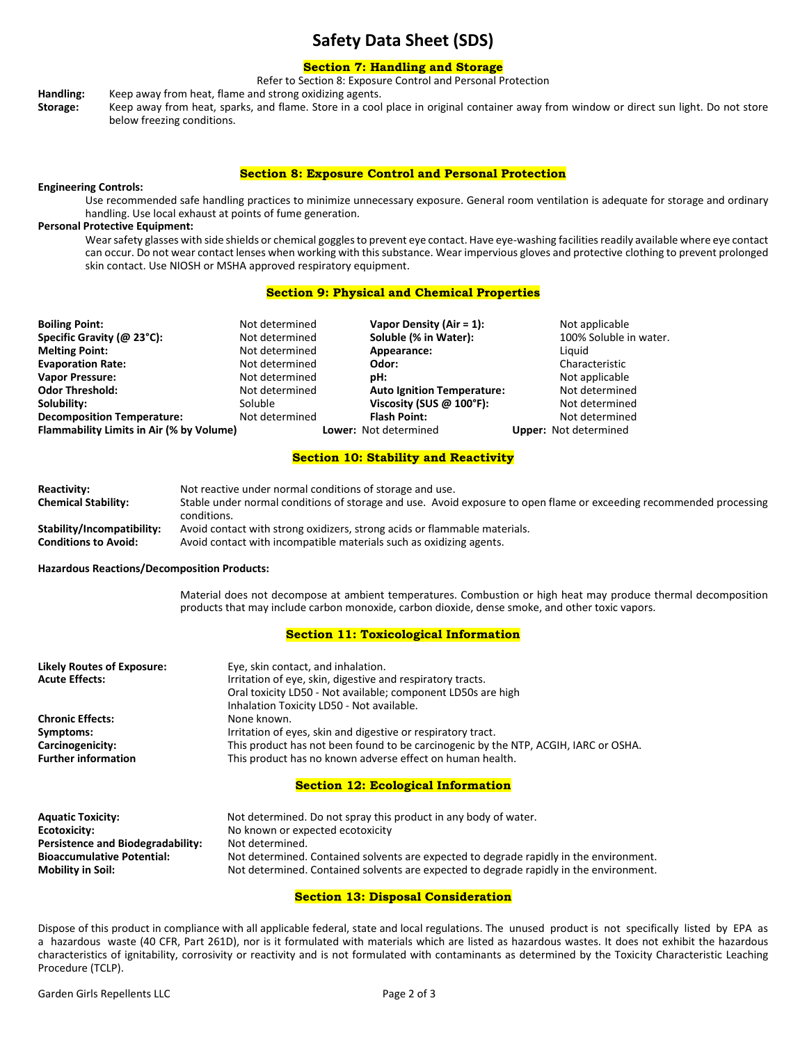# **Safety Data Sheet (SDS)**

# **Section 7: Handling and Storage**

Refer to Section 8: Exposure Control and Personal Protection

**Handling:** Keep away from heat, flame and strong oxidizing agents.

**Storage:** Keep away from heat, sparks, and flame. Store in a cool place in original container away from window or direct sun light. Do not store below freezing conditions.

#### **Section 8: Exposure Control and Personal Protection**

#### **Engineering Controls:**

Use recommended safe handling practices to minimize unnecessary exposure. General room ventilation is adequate for storage and ordinary handling. Use local exhaust at points of fume generation.

## **Personal Protective Equipment:**

Wear safety glasses with side shields or chemical goggles to prevent eye contact. Have eye-washing facilities readily available where eye contact can occur. Do not wear contact lenses when working with this substance. Wear impervious gloves and protective clothing to prevent prolonged skin contact. Use NIOSH or MSHA approved respiratory equipment.

#### **Section 9: Physical and Chemical Properties**

| <b>Boiling Point:</b>                    | Not determined | Vapor Density (Air = $1$ ):       | Not applicable               |
|------------------------------------------|----------------|-----------------------------------|------------------------------|
| Specific Gravity (@ 23°C):               | Not determined | Soluble (% in Water):             | 100% Soluble in water.       |
| <b>Melting Point:</b>                    | Not determined | Appearance:                       | Liguid                       |
| <b>Evaporation Rate:</b>                 | Not determined | Odor:                             | Characteristic               |
| <b>Vapor Pressure:</b>                   | Not determined | pH:                               | Not applicable               |
| <b>Odor Threshold:</b>                   | Not determined | <b>Auto Ignition Temperature:</b> | Not determined               |
| Solubility:                              | Soluble        | Viscosity (SUS $@$ 100°F):        | Not determined               |
| <b>Decomposition Temperature:</b>        | Not determined | <b>Flash Point:</b>               | Not determined               |
| Flammability Limits in Air (% by Volume) |                | Lower: Not determined             | <b>Upper:</b> Not determined |

### **Section 10: Stability and Reactivity**

| <b>Reactivity:</b>          | Not reactive under normal conditions of storage and use.                                                            |
|-----------------------------|---------------------------------------------------------------------------------------------------------------------|
| <b>Chemical Stability:</b>  | Stable under normal conditions of storage and use. Avoid exposure to open flame or exceeding recommended processing |
|                             | conditions.                                                                                                         |
| Stability/Incompatibility:  | Avoid contact with strong oxidizers, strong acids or flammable materials.                                           |
| <b>Conditions to Avoid:</b> | Avoid contact with incompatible materials such as oxidizing agents.                                                 |

#### **Hazardous Reactions/Decomposition Products:**

Material does not decompose at ambient temperatures. Combustion or high heat may produce thermal decomposition products that may include carbon monoxide, carbon dioxide, dense smoke, and other toxic vapors.

### **Section 11: Toxicological Information**

| <b>Likely Routes of Exposure:</b><br><b>Acute Effects:</b> | Eye, skin contact, and inhalation.<br>Irritation of eye, skin, digestive and respiratory tracts.<br>Oral toxicity LD50 - Not available; component LD50s are high<br>Inhalation Toxicity LD50 - Not available. |
|------------------------------------------------------------|---------------------------------------------------------------------------------------------------------------------------------------------------------------------------------------------------------------|
| <b>Chronic Effects:</b>                                    | None known.                                                                                                                                                                                                   |
| Symptoms:                                                  | Irritation of eyes, skin and digestive or respiratory tract.                                                                                                                                                  |
| Carcinogenicity:                                           | This product has not been found to be carcinogenic by the NTP, ACGIH, IARC or OSHA.                                                                                                                           |
| <b>Further information</b>                                 | This product has no known adverse effect on human health.                                                                                                                                                     |

#### **Section 12: Ecological Information**

| <b>Aquatic Toxicity:</b>                 | Not determined. Do not spray this product in any body of water.                        |  |
|------------------------------------------|----------------------------------------------------------------------------------------|--|
| Ecotoxicity:                             | No known or expected ecotoxicity                                                       |  |
| <b>Persistence and Biodegradability:</b> | Not determined.                                                                        |  |
| <b>Bioaccumulative Potential:</b>        | Not determined. Contained solvents are expected to degrade rapidly in the environment. |  |
| <b>Mobility in Soil:</b>                 | Not determined. Contained solvents are expected to degrade rapidly in the environment. |  |

## **Section 13: Disposal Consideration**

Dispose of this product in compliance with all applicable federal, state and local regulations. The unused product is not specifically listed by EPA as a hazardous waste (40 CFR, Part 261D), nor is it formulated with materials which are listed as hazardous wastes. It does not exhibit the hazardous characteristics of ignitability, corrosivity or reactivity and is not formulated with contaminants as determined by the Toxicity Characteristic Leaching Procedure (TCLP).